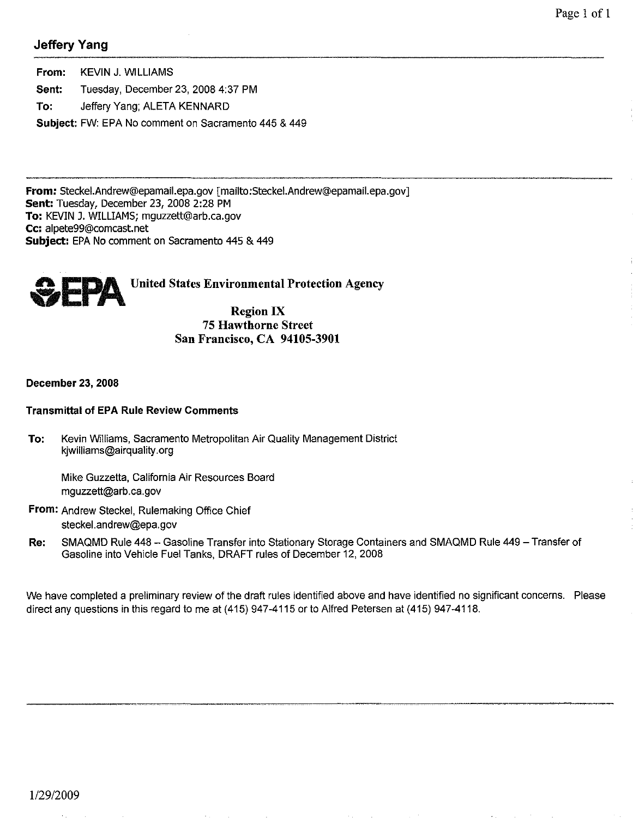# Jeffery Yang

From: KEVIN J. WILLIAMS Sent: To: Tuesday, December 23, 20084:37 PM Jeffery Yang; ALETA KENNARD Subject: FW: EPA No comment on Sacramento 445 & 449

From: SteckeI.Andrew@epamail.epa.gov [mailto:Steckel.Andrew@epamail.epa.gov) Sent: Tuesday, December 23, 2008 2:28 PM To: KEVIN J. WILLIAMS; mguzzett@arb.ca.gov Cc: alpete99@comcast.net Subject: EPA No comment on Sacramento 445 & 449



#### 75 Hawthorne Street San Francisco, CA 94105-3901

#### December 23, 2008

#### Transmittal of EPA Rule Review Comments

To: Kevin Williams, Sacramento Metropolitan Air Quality Management District kjwilliams@airquality.org

Mike Guzzetta, California Air Resources Board mguzzett@arb.ca.gov

- From: Andrew Steckel, Rulemaking Office Chief steckel.andrew@epa.gov
- Re: SMAQMD Rule 448 Gasoline Transfer into Stationary Storage Containers and SMAQMD Rule 449 Transfer of Gasoline into Vehicle Fuel Tanks, DRAFT rules of December 12, 2008

We have completed a preliminary review of the draft rules identified above and have identified no significant concerns. Please direct any questions in this regard to me at (415) 947-4115 or to Alfred Petersen at (415) 947-4118.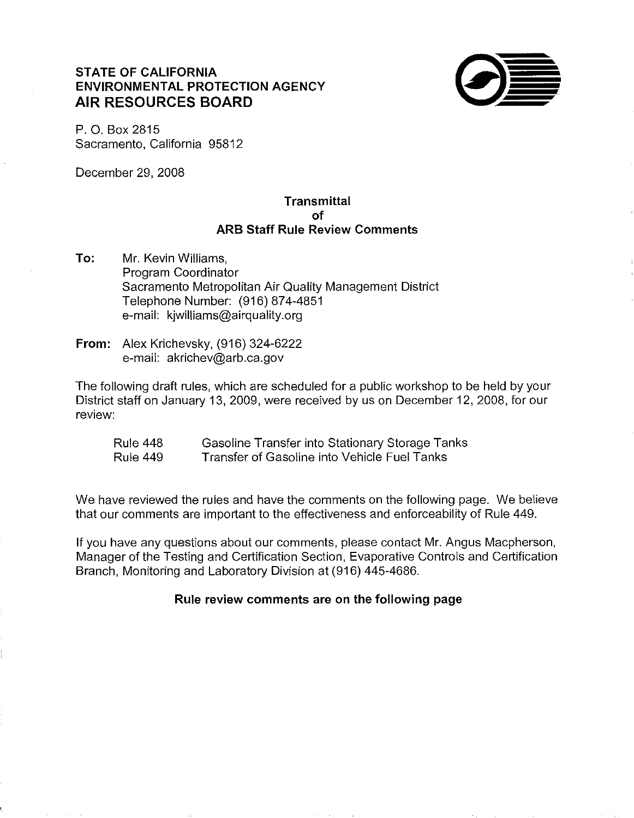# **STATE OF CALIFORNIA ENVIRONMENTAL PROTECTION AGENCY AIR RESOURCES BOARD**



P. O. Box 2815 Sacramento, California 95812

December 29, 2008

## **Transmittal of ARB Staff Rule Review Comments**

- **To:** Mr. Kevin Williams, Program Coordinator Sacramento Metropolitan Air Quality Management District Telephone Number: (916) 874-4851 e-mail: kjwilliams@airquality.org
- **From:** Alex Krichevsky, (916) 324-6222 e-mail: akrichev@arb.ca.gov

The following draft rules, which are scheduled for a public workshop to be held by your District staff on January 13, 2009, were received by us on December 12, 2008, for our review:

Rule 448 Rule 449 Gasoline Transfer into Stationary Storage Tanks Transfer of Gasoline into Vehicle Fuel Tanks

We have reviewed the rules and have the comments on the following page. We believe that our comments are important to the effectiveness and enforceability of Rule 449.

If you have any questions about our comments, please contact Mr. Angus Macpherson, Manager of the Testing and Certification Section, Evaporative Controls and Certification Branch, Monitoring and Laboratory Division at (916) 445-4686.

## **Rule review comments are on the following page**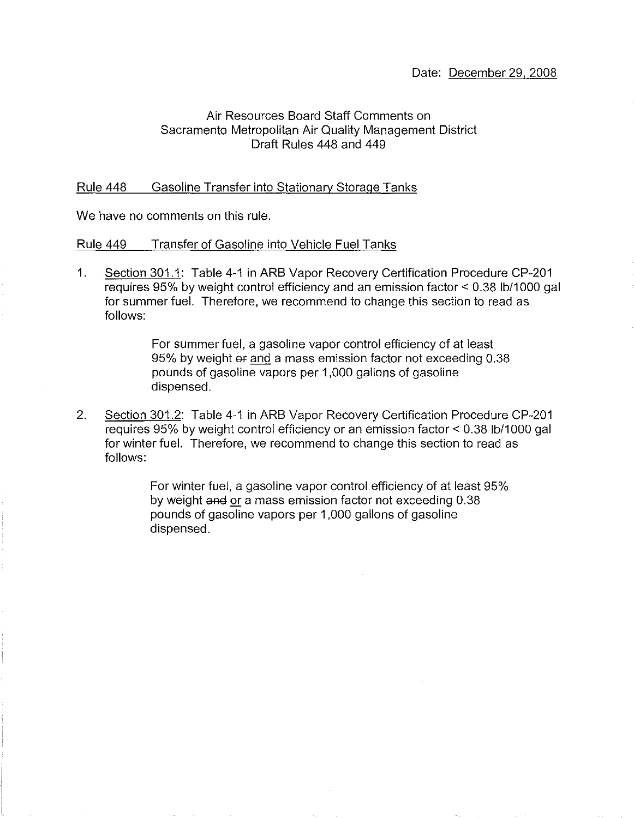## Air Resources Board Staff Comments on Sacramento Metropolitan Air Quality Management District Draft Rules 448 and 449

#### Rule 448 Gasoline Transfer into Stationary Storage Tanks

We have no comments on this rule,

#### Rule 449 Transfer of Gasoline into Vehicle Fuel Tanks

1, Section 301.1: Table 4-1 in ARB Vapor Recovery Certification Procedure CP-201 requires 95% by weight control efficiency and an emission factor < 0.38 Ib/1000 gal for summer fuel. Therefore, we recommend to change this section to read as follows:

> For summer fuel, a gasoline vapor control efficiency of at least 95% by weight or and a mass emission factor not exceeding 0.38 pounds of gasoline vapors per 1,000 gallons of gasoline dispensed.

2. Section 301.2: Table 4-1 in ARB Vapor Recovery Certification Procedure CP-201 requires 95% by weight control efficiency or an emission factor < 0.38 Ib/1000 gal for winter fuel. Therefore, we recommend to change this section to read as follows:

> For winter fuel, a gasoline vapor control efficiency of at least 95% by weight and or a mass emission factor not exceeding 0.38 pounds of gasoline vapors per 1,000 gallons of gasoline dispensed.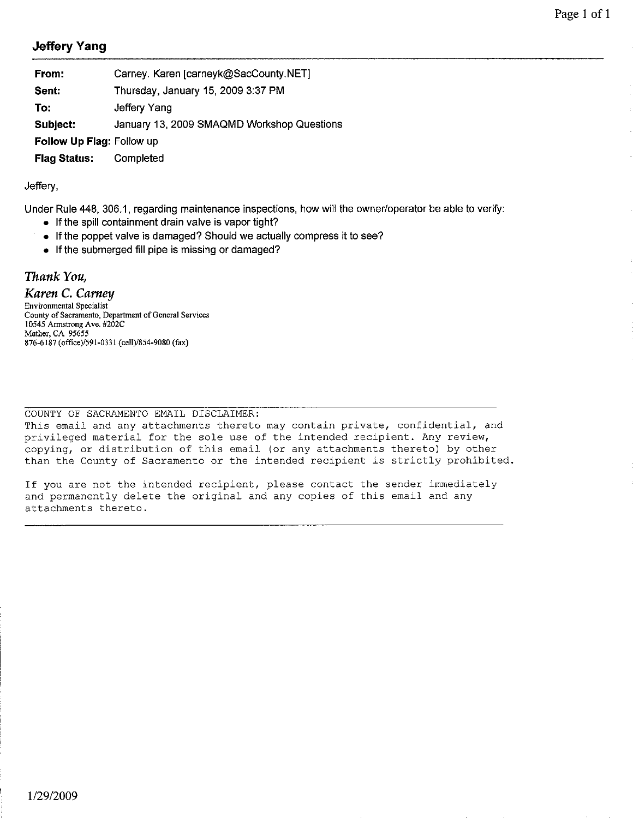# Jeffery Yang

| From:                         | Carney. Karen [carneyk@SacCounty.NET]      |
|-------------------------------|--------------------------------------------|
| Sent:                         | Thursday, January 15, 2009 3:37 PM         |
| To:                           | Jeffery Yang                               |
| Subject:                      | January 13, 2009 SMAQMD Workshop Questions |
| Follow Up Flag: Follow up     |                                            |
| <b>Flag Status:</b> Completed |                                            |

#### Jeffery,

Under Rule 448, 306.1, regarding maintenance inspections, how will the owner/operator be able to verify:

- If the spill containment drain valve is vapor tight?
- If the poppet valve is damaged? Should we actually compress it to see?
- If the submerged fill pipe is missing or damaged?

### *Thank You,*

*Karen* C. *Carney* 

Environmental Specialist County of Sacramento, Department of General Services 10545 Armstrong Ave. #202C Mather, CA 95655 876-6187 (office)/591-0331 (cell)/8S4-9080 (fax)

COUNTY OF SACRAMENTO EMAIL DISCLAIMER:

This email and any attachments thereto may contain private, confidential, and privileged material for the sole use of the intended recipient. Any review, copying, or distribution of this email (or any attachments thereto) by other than the County of Sacramento or the intended recipient is strictly prohibited.

If you are not the intended recipient, please contact the sender immediately and permanently delete the original and any copies of this email and any attachments thereto.